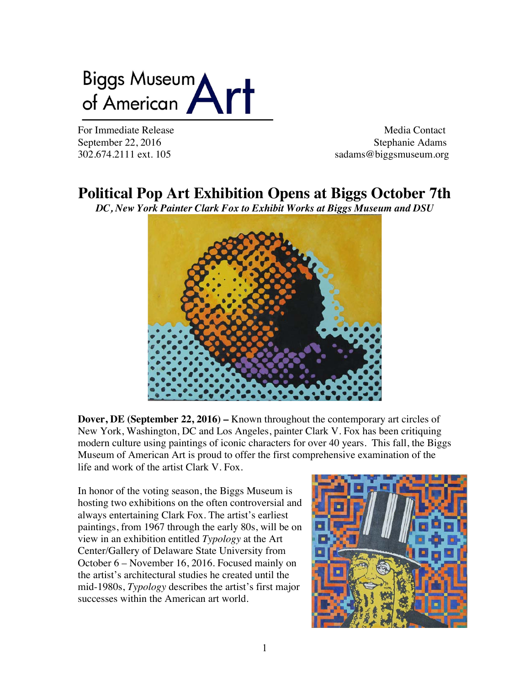# Biggs Museum<br>of American

For Immediate Release Media Contact September 22, 2016 Stephanie Adams 302.674.2111 ext. 105 sadams@biggsmuseum.org

# **Political Pop Art Exhibition Opens at Biggs October 7th**

*DC, New York Painter Clark Fox to Exhibit Works at Biggs Museum and DSU*



**Dover, DE (September 22, 2016) –** Known throughout the contemporary art circles of New York, Washington, DC and Los Angeles, painter Clark V. Fox has been critiquing modern culture using paintings of iconic characters for over 40 years. This fall, the Biggs Museum of American Art is proud to offer the first comprehensive examination of the life and work of the artist Clark V. Fox.

In honor of the voting season, the Biggs Museum is hosting two exhibitions on the often controversial and always entertaining Clark Fox. The artist's earliest paintings, from 1967 through the early 80s, will be on view in an exhibition entitled *Typology* at the Art Center/Gallery of Delaware State University from October 6 – November 16, 2016. Focused mainly on the artist's architectural studies he created until the mid-1980s, *Typology* describes the artist's first major successes within the American art world.

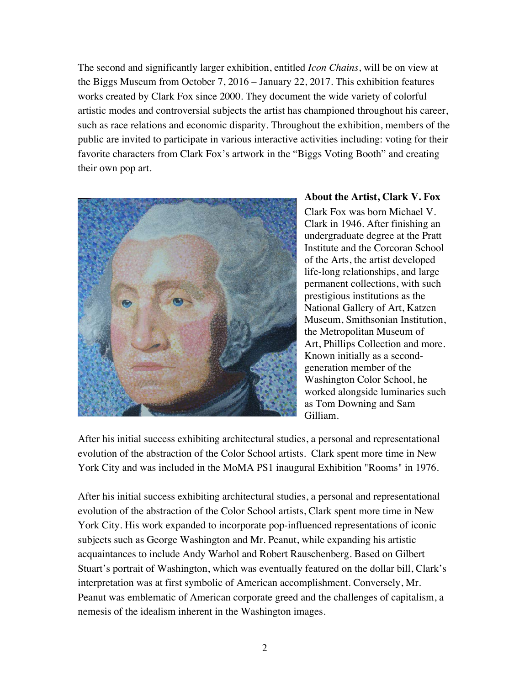The second and significantly larger exhibition, entitled *Icon Chains*, will be on view at the Biggs Museum from October 7, 2016 – January 22, 2017. This exhibition features works created by Clark Fox since 2000. They document the wide variety of colorful artistic modes and controversial subjects the artist has championed throughout his career, such as race relations and economic disparity. Throughout the exhibition, members of the public are invited to participate in various interactive activities including: voting for their favorite characters from Clark Fox's artwork in the "Biggs Voting Booth" and creating their own pop art.



#### **About the Artist, Clark V. Fox**

Clark Fox was born Michael V. Clark in 1946. After finishing an undergraduate degree at the Pratt Institute and the Corcoran School of the Arts, the artist developed life-long relationships, and large permanent collections, with such prestigious institutions as the National Gallery of Art, Katzen Museum, Smithsonian Institution, the Metropolitan Museum of Art, Phillips Collection and more. Known initially as a secondgeneration member of the Washington Color School, he worked alongside luminaries such as Tom Downing and Sam Gilliam.

After his initial success exhibiting architectural studies, a personal and representational evolution of the abstraction of the Color School artists. Clark spent more time in New York City and was included in the MoMA PS1 inaugural Exhibition "Rooms" in 1976.

After his initial success exhibiting architectural studies, a personal and representational evolution of the abstraction of the Color School artists, Clark spent more time in New York City. His work expanded to incorporate pop-influenced representations of iconic subjects such as George Washington and Mr. Peanut, while expanding his artistic acquaintances to include Andy Warhol and Robert Rauschenberg. Based on Gilbert Stuart's portrait of Washington, which was eventually featured on the dollar bill, Clark's interpretation was at first symbolic of American accomplishment. Conversely, Mr. Peanut was emblematic of American corporate greed and the challenges of capitalism, a nemesis of the idealism inherent in the Washington images.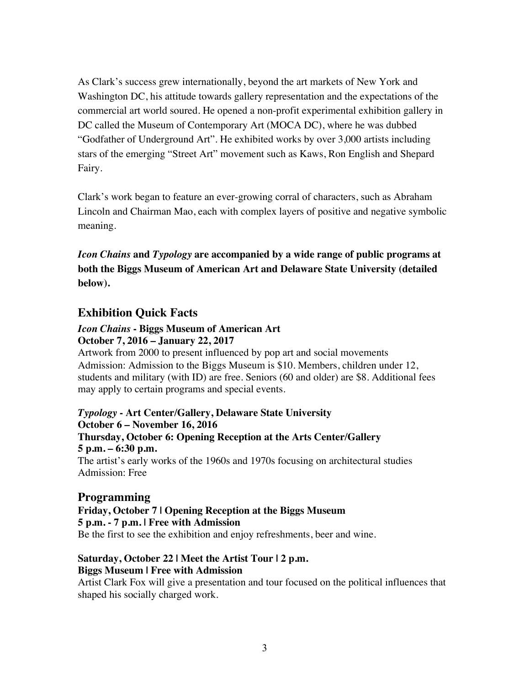As Clark's success grew internationally, beyond the art markets of New York and Washington DC, his attitude towards gallery representation and the expectations of the commercial art world soured. He opened a non-profit experimental exhibition gallery in DC called the Museum of Contemporary Art (MOCA DC), where he was dubbed "Godfather of Underground Art". He exhibited works by over 3,000 artists including stars of the emerging "Street Art" movement such as Kaws, Ron English and Shepard Fairy.

Clark's work began to feature an ever-growing corral of characters, such as Abraham Lincoln and Chairman Mao, each with complex layers of positive and negative symbolic meaning.

*Icon Chains* **and** *Typology* **are accompanied by a wide range of public programs at both the Biggs Museum of American Art and Delaware State University (detailed below).**

### **Exhibition Quick Facts**

#### *Icon Chains* **- Biggs Museum of American Art October 7, 2016 – January 22, 2017**

Artwork from 2000 to present influenced by pop art and social movements Admission: Admission to the Biggs Museum is \$10. Members, children under 12, students and military (with ID) are free. Seniors (60 and older) are \$8. Additional fees may apply to certain programs and special events.

*Typology* **- Art Center/Gallery, Delaware State University October 6 – November 16, 2016 Thursday, October 6: Opening Reception at the Arts Center/Gallery 5 p.m. – 6:30 p.m.** The artist's early works of the 1960s and 1970s focusing on architectural studies Admission: Free

## **Programming**

**Friday, October 7 | Opening Reception at the Biggs Museum 5 p.m. - 7 p.m. | Free with Admission** Be the first to see the exhibition and enjoy refreshments, beer and wine.

#### **Saturday, October 22 | Meet the Artist Tour | 2 p.m. Biggs Museum | Free with Admission**

Artist Clark Fox will give a presentation and tour focused on the political influences that shaped his socially charged work.